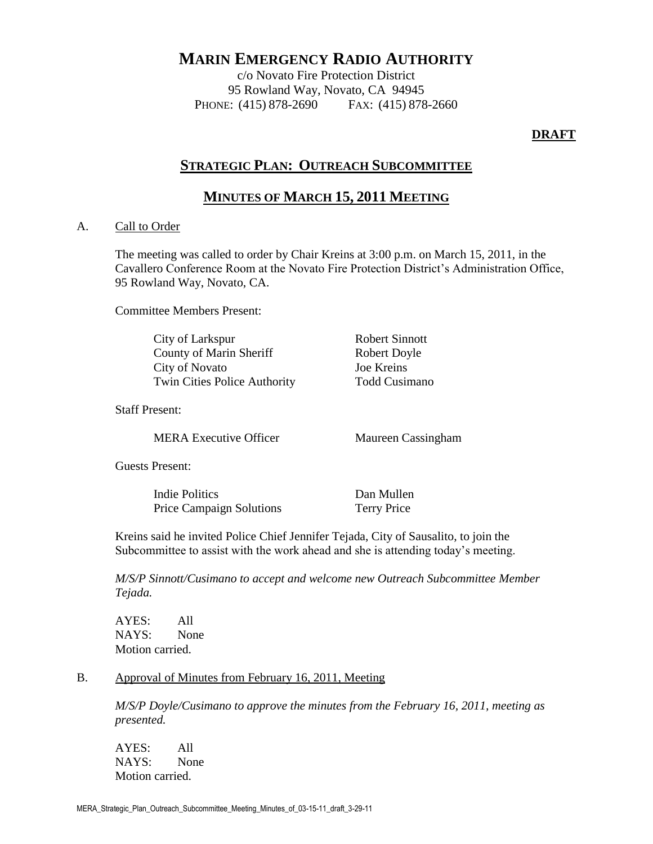# **MARIN EMERGENCY RADIO AUTHORITY**

c/o Novato Fire Protection District 95 Rowland Way, Novato, CA 94945 PHONE: (415) 878-2690 FAX: (415) 878-2660

### **DRAFT**

# **STRATEGIC PLAN: OUTREACH SUBCOMMITTEE**

# **MINUTES OF MARCH 15, 2011 MEETING**

### A. Call to Order

The meeting was called to order by Chair Kreins at 3:00 p.m. on March 15, 2011, in the Cavallero Conference Room at the Novato Fire Protection District's Administration Office, 95 Rowland Way, Novato, CA.

Committee Members Present:

City of Larkspur Robert Sinnott County of Marin Sheriff Robert Doyle City of Novato Joe Kreins Twin Cities Police Authority Todd Cusimano

Staff Present:

MERA Executive Officer Maureen Cassingham

Guests Present:

Indie Politics Dan Mullen Price Campaign Solutions Terry Price

Kreins said he invited Police Chief Jennifer Tejada, City of Sausalito, to join the Subcommittee to assist with the work ahead and she is attending today's meeting.

*M/S/P Sinnott/Cusimano to accept and welcome new Outreach Subcommittee Member Tejada.*

AYES: All NAYS: None Motion carried.

### B. Approval of Minutes from February 16, 2011, Meeting

*M/S/P Doyle/Cusimano to approve the minutes from the February 16, 2011, meeting as presented.*

AYES: All NAYS: None Motion carried.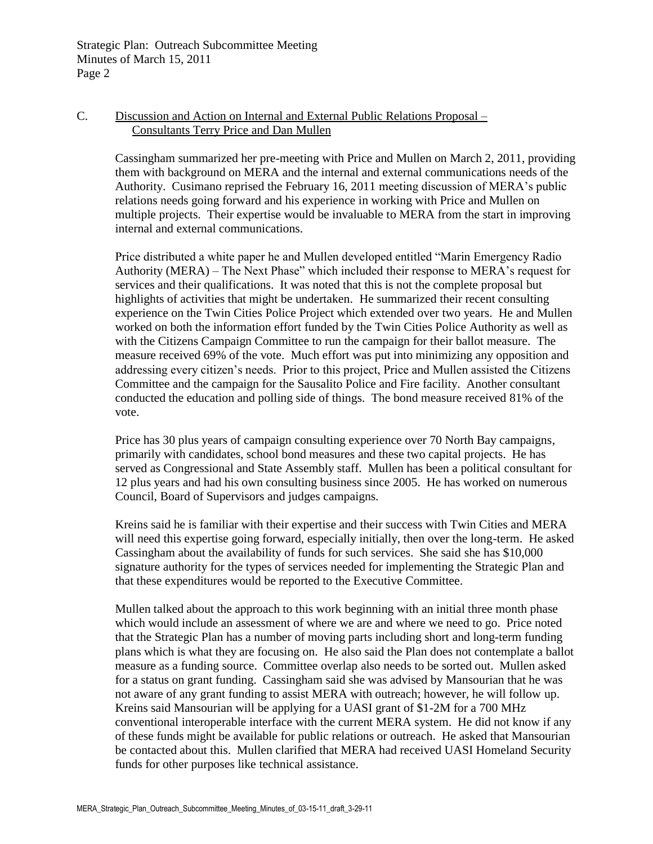Strategic Plan: Outreach Subcommittee Meeting Minutes of March 15, 2011 Page 2

### C. Discussion and Action on Internal and External Public Relations Proposal – Consultants Terry Price and Dan Mullen

Cassingham summarized her pre-meeting with Price and Mullen on March 2, 2011, providing them with background on MERA and the internal and external communications needs of the Authority. Cusimano reprised the February 16, 2011 meeting discussion of MERA's public relations needs going forward and his experience in working with Price and Mullen on multiple projects. Their expertise would be invaluable to MERA from the start in improving internal and external communications.

Price distributed a white paper he and Mullen developed entitled "Marin Emergency Radio Authority (MERA) – The Next Phase" which included their response to MERA's request for services and their qualifications. It was noted that this is not the complete proposal but highlights of activities that might be undertaken. He summarized their recent consulting experience on the Twin Cities Police Project which extended over two years. He and Mullen worked on both the information effort funded by the Twin Cities Police Authority as well as with the Citizens Campaign Committee to run the campaign for their ballot measure. The measure received 69% of the vote. Much effort was put into minimizing any opposition and addressing every citizen's needs. Prior to this project, Price and Mullen assisted the Citizens Committee and the campaign for the Sausalito Police and Fire facility. Another consultant conducted the education and polling side of things. The bond measure received 81% of the vote.

Price has 30 plus years of campaign consulting experience over 70 North Bay campaigns, primarily with candidates, school bond measures and these two capital projects. He has served as Congressional and State Assembly staff. Mullen has been a political consultant for 12 plus years and had his own consulting business since 2005. He has worked on numerous Council, Board of Supervisors and judges campaigns.

Kreins said he is familiar with their expertise and their success with Twin Cities and MERA will need this expertise going forward, especially initially, then over the long-term. He asked Cassingham about the availability of funds for such services. She said she has \$10,000 signature authority for the types of services needed for implementing the Strategic Plan and that these expenditures would be reported to the Executive Committee.

Mullen talked about the approach to this work beginning with an initial three month phase which would include an assessment of where we are and where we need to go. Price noted that the Strategic Plan has a number of moving parts including short and long-term funding plans which is what they are focusing on. He also said the Plan does not contemplate a ballot measure as a funding source. Committee overlap also needs to be sorted out. Mullen asked for a status on grant funding. Cassingham said she was advised by Mansourian that he was not aware of any grant funding to assist MERA with outreach; however, he will follow up. Kreins said Mansourian will be applying for a UASI grant of \$1-2M for a 700 MHz conventional interoperable interface with the current MERA system. He did not know if any of these funds might be available for public relations or outreach. He asked that Mansourian be contacted about this. Mullen clarified that MERA had received UASI Homeland Security funds for other purposes like technical assistance.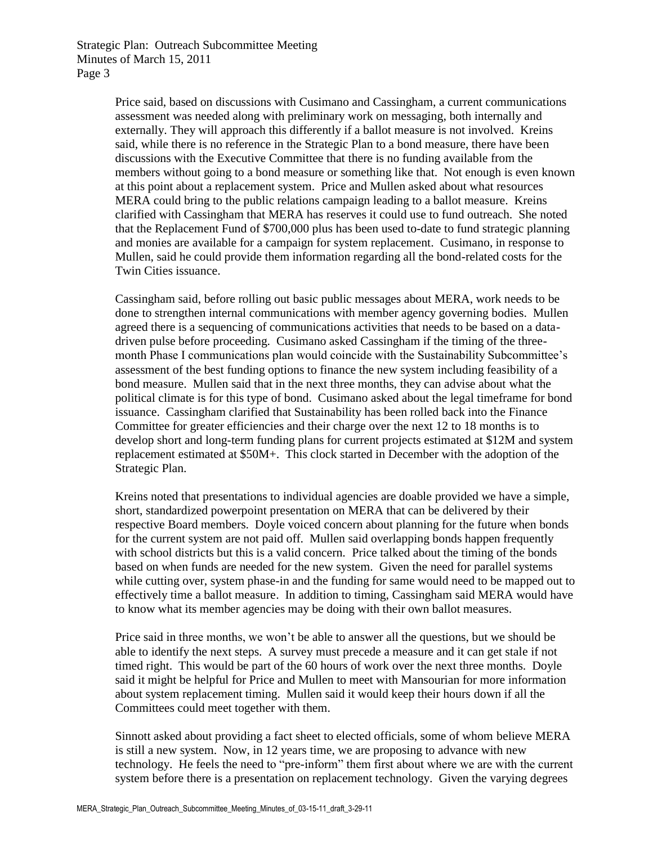Strategic Plan: Outreach Subcommittee Meeting Minutes of March 15, 2011 Page 3

> Price said, based on discussions with Cusimano and Cassingham, a current communications assessment was needed along with preliminary work on messaging, both internally and externally. They will approach this differently if a ballot measure is not involved. Kreins said, while there is no reference in the Strategic Plan to a bond measure, there have been discussions with the Executive Committee that there is no funding available from the members without going to a bond measure or something like that. Not enough is even known at this point about a replacement system. Price and Mullen asked about what resources MERA could bring to the public relations campaign leading to a ballot measure. Kreins clarified with Cassingham that MERA has reserves it could use to fund outreach. She noted that the Replacement Fund of \$700,000 plus has been used to-date to fund strategic planning and monies are available for a campaign for system replacement. Cusimano, in response to Mullen, said he could provide them information regarding all the bond-related costs for the Twin Cities issuance.

> Cassingham said, before rolling out basic public messages about MERA, work needs to be done to strengthen internal communications with member agency governing bodies. Mullen agreed there is a sequencing of communications activities that needs to be based on a datadriven pulse before proceeding. Cusimano asked Cassingham if the timing of the threemonth Phase I communications plan would coincide with the Sustainability Subcommittee's assessment of the best funding options to finance the new system including feasibility of a bond measure. Mullen said that in the next three months, they can advise about what the political climate is for this type of bond. Cusimano asked about the legal timeframe for bond issuance. Cassingham clarified that Sustainability has been rolled back into the Finance Committee for greater efficiencies and their charge over the next 12 to 18 months is to develop short and long-term funding plans for current projects estimated at \$12M and system replacement estimated at \$50M+. This clock started in December with the adoption of the Strategic Plan.

> Kreins noted that presentations to individual agencies are doable provided we have a simple, short, standardized powerpoint presentation on MERA that can be delivered by their respective Board members. Doyle voiced concern about planning for the future when bonds for the current system are not paid off. Mullen said overlapping bonds happen frequently with school districts but this is a valid concern. Price talked about the timing of the bonds based on when funds are needed for the new system. Given the need for parallel systems while cutting over, system phase-in and the funding for same would need to be mapped out to effectively time a ballot measure. In addition to timing, Cassingham said MERA would have to know what its member agencies may be doing with their own ballot measures.

Price said in three months, we won't be able to answer all the questions, but we should be able to identify the next steps. A survey must precede a measure and it can get stale if not timed right. This would be part of the 60 hours of work over the next three months. Doyle said it might be helpful for Price and Mullen to meet with Mansourian for more information about system replacement timing. Mullen said it would keep their hours down if all the Committees could meet together with them.

Sinnott asked about providing a fact sheet to elected officials, some of whom believe MERA is still a new system. Now, in 12 years time, we are proposing to advance with new technology. He feels the need to "pre-inform" them first about where we are with the current system before there is a presentation on replacement technology. Given the varying degrees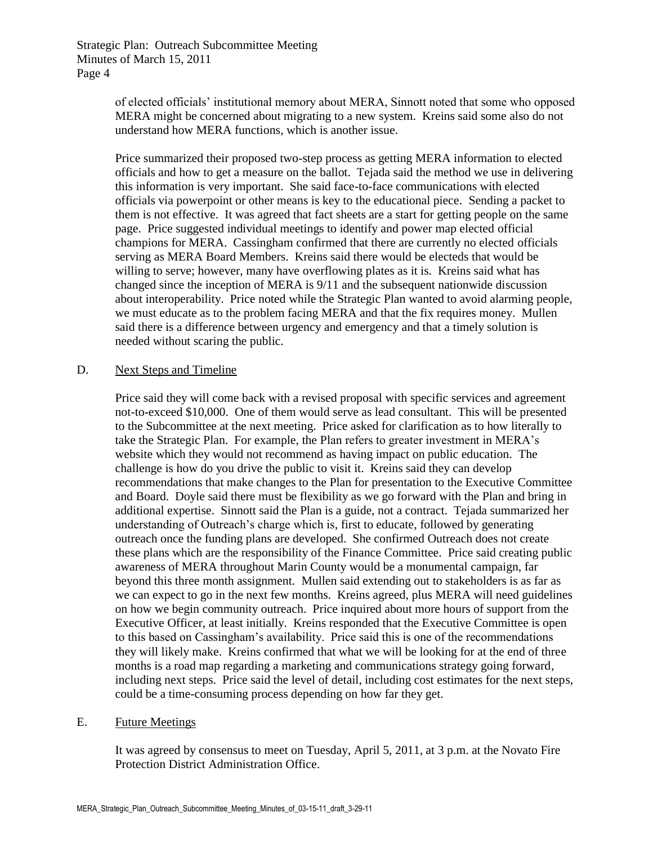Strategic Plan: Outreach Subcommittee Meeting Minutes of March 15, 2011 Page 4

> of elected officials' institutional memory about MERA, Sinnott noted that some who opposed MERA might be concerned about migrating to a new system. Kreins said some also do not understand how MERA functions, which is another issue.

> Price summarized their proposed two-step process as getting MERA information to elected officials and how to get a measure on the ballot. Tejada said the method we use in delivering this information is very important. She said face-to-face communications with elected officials via powerpoint or other means is key to the educational piece. Sending a packet to them is not effective. It was agreed that fact sheets are a start for getting people on the same page. Price suggested individual meetings to identify and power map elected official champions for MERA. Cassingham confirmed that there are currently no elected officials serving as MERA Board Members. Kreins said there would be electeds that would be willing to serve; however, many have overflowing plates as it is. Kreins said what has changed since the inception of MERA is 9/11 and the subsequent nationwide discussion about interoperability. Price noted while the Strategic Plan wanted to avoid alarming people, we must educate as to the problem facing MERA and that the fix requires money. Mullen said there is a difference between urgency and emergency and that a timely solution is needed without scaring the public.

#### D. Next Steps and Timeline

Price said they will come back with a revised proposal with specific services and agreement not-to-exceed \$10,000. One of them would serve as lead consultant. This will be presented to the Subcommittee at the next meeting. Price asked for clarification as to how literally to take the Strategic Plan. For example, the Plan refers to greater investment in MERA's website which they would not recommend as having impact on public education. The challenge is how do you drive the public to visit it. Kreins said they can develop recommendations that make changes to the Plan for presentation to the Executive Committee and Board. Doyle said there must be flexibility as we go forward with the Plan and bring in additional expertise. Sinnott said the Plan is a guide, not a contract. Tejada summarized her understanding of Outreach's charge which is, first to educate, followed by generating outreach once the funding plans are developed. She confirmed Outreach does not create these plans which are the responsibility of the Finance Committee. Price said creating public awareness of MERA throughout Marin County would be a monumental campaign, far beyond this three month assignment. Mullen said extending out to stakeholders is as far as we can expect to go in the next few months. Kreins agreed, plus MERA will need guidelines on how we begin community outreach. Price inquired about more hours of support from the Executive Officer, at least initially. Kreins responded that the Executive Committee is open to this based on Cassingham's availability. Price said this is one of the recommendations they will likely make. Kreins confirmed that what we will be looking for at the end of three months is a road map regarding a marketing and communications strategy going forward, including next steps. Price said the level of detail, including cost estimates for the next steps, could be a time-consuming process depending on how far they get.

#### E. Future Meetings

It was agreed by consensus to meet on Tuesday, April 5, 2011, at 3 p.m. at the Novato Fire Protection District Administration Office.